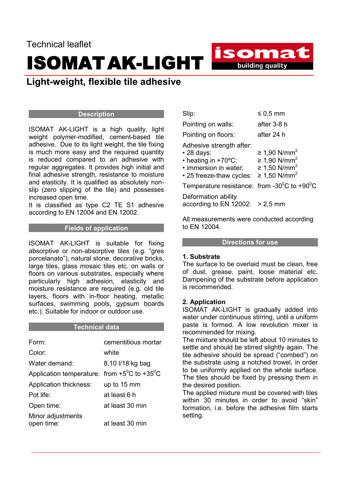# Technical leaflet ISOMATAK-LIGHT

## Light-weight, flexible tile adhesive

#### **Description**

ISOMAT AK-LIGHT is a high quality, light weight polymer-modified, cement-based tile adhesive. Due to its light weight, the tile fixing is much more easy and the required quantity is reduced compared to an adhesive with regular aggregates. It provides high initial and final adhesive strength, resistance to moisture and elasticity. It is qualified as absolutely nonslip (zero slipping of the tile) and possesses increased open time.

It is classified as type C2 TE S1 adhesive according to EN 12004 and EN 12002.

#### Fields of application

ISOMAT AK-LIGHT is suitable for fixing absorptive or non-absorptive tiles (e.g. "gres porcelanato"), natural stone, decorative bricks, large tiles, glass mosaic tiles etc. on walls or floors on various substrates, especially where particularly high adhesion, elasticity and moisture resistance are required (e.g. old tile layers, floors with in-floor heating, metallic surfaces, swimming pools, gypsum boards etc.). Suitable for indoor or outdoor use.

#### **Technical data**

| Form:                                                           | cementitious mortar |
|-----------------------------------------------------------------|---------------------|
| Color:                                                          | white               |
| Water demand:                                                   | 8,10 l/18 kg bag    |
| Application temperature: from $+5^{\circ}$ C to $+35^{\circ}$ C |                     |
| Application thickness:                                          | up to 15 mm         |
| Pot life:                                                       | at least 6 h        |
| Open time:                                                      | at least 30 min     |
| Minor adjustments<br>open time:                                 | at least 30 min     |

| Slip:                                                                                                                    | $\leq 0.5$ mm                                                                                                |
|--------------------------------------------------------------------------------------------------------------------------|--------------------------------------------------------------------------------------------------------------|
| Pointing on walls:                                                                                                       | after 3-8 h                                                                                                  |
| Pointing on floors:                                                                                                      | after 24 h                                                                                                   |
| Adhesive strength after:<br>$\cdot$ 28 days:<br>• heating in +70°C:<br>· immersion in water:<br>• 25 freeze-thaw cycles: | ≥ 1,90 N/mm <sup>2</sup><br>≥ 1,90 N/mm <sup>2</sup><br>≥ 1,50 N/mm <sup>2</sup><br>≥ 1,50 N/mm <sup>2</sup> |
| Temperature resistance: from -30 $^{\circ}$ C to +90 $^{\circ}$ C                                                        |                                                                                                              |
| Deformation ability<br>according to EN 12002:                                                                            | $> 2.5$ mm                                                                                                   |
|                                                                                                                          |                                                                                                              |

isomat

**Example 15 building quality** 

All measurements were conducted according to EN 12004.

#### Directions for use

#### 1. Substrate

The surface to be overlaid must be clean, free of dust, grease, paint, loose material etc. Dampening of the substrate before application is recommended.

### 2. Application

ISOMAT AK-LIGHT is gradually added into water under continuous stirring, until a uniform paste is formed. A low revolution mixer is recommended for mixing.

The mixture should be left about 10 minutes to settle and should be stirred slightly again. The tile adhesive should be spread ("combed") on the substrate using a notched trowel, in order to be uniformly applied on the whole surface. The tiles should be fixed by pressing them in the desired position.

The applied mixture must be covered with tiles within 30 minutes in order to avoid "skin" formation, i.e. before the adhesive film starts setting.